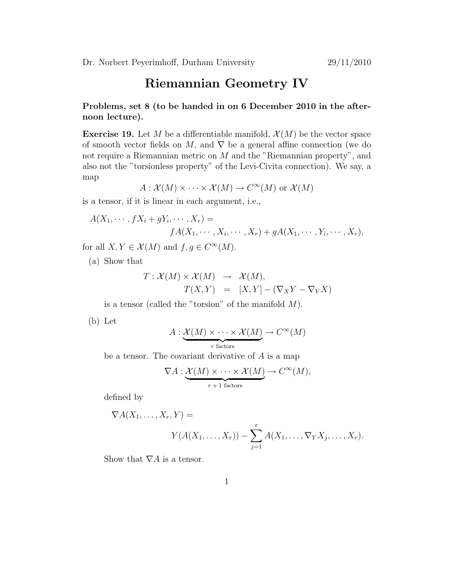## Riemannian Geometry IV

Problems, set 8 (to be handed in on 6 December 2010 in the afternoon lecture).

**Exercise 19.** Let M be a differentiable manifold,  $\mathcal{X}(M)$  be the vector space of smooth vector fields on M, and  $\nabla$  be a general affine connection (we do not require a Riemannian metric on  $M$  and the "Riemannian property", and also not the "torsionless property" of the Levi-Civita connection). We say, a map

$$
A: \mathcal{X}(M) \times \cdots \times \mathcal{X}(M) \to C^{\infty}(M)
$$
 or  $\mathcal{X}(M)$ 

is a tensor, if it is linear in each argument, i.e.,

$$
A(X_1, \cdots, fX_i + gY_i, \cdots, X_r) =
$$
  
 
$$
fA(X_1, \cdots, X_i, \cdots, X_r) + gA(X_1, \cdots, Y_i, \cdots, X_r),
$$

for all  $X, Y \in \mathcal{X}(M)$  and  $f, g \in C^{\infty}(M)$ .

(a) Show that

$$
T: \mathcal{X}(M) \times \mathcal{X}(M) \rightarrow \mathcal{X}(M),
$$
  

$$
T(X,Y) = [X,Y] - (\nabla_X Y - \nabla_Y X)
$$

is a tensor (called the "torsion" of the manifold  $M$ ).

(b) Let

$$
A: \underbrace{\mathcal{X}(M) \times \cdots \times \mathcal{X}(M)}_{r \text{ factors}} \to C^{\infty}(M)
$$

be a tensor. The covariant derivative of  $A$  is a map

$$
\nabla A: \underbrace{\mathcal{X}(M) \times \cdots \times \mathcal{X}(M)}_{r+1 \text{ factors}} \to C^{\infty}(M),
$$

defined by

$$
\nabla A(X_1,\ldots,X_r,Y) =
$$
  
 
$$
Y(A(X_1,\ldots,X_r)) - \sum_{j=1}^r A(X_1,\ldots,\nabla_Y X_j,\ldots,X_r).
$$

Show that  $\nabla A$  is a tensor.